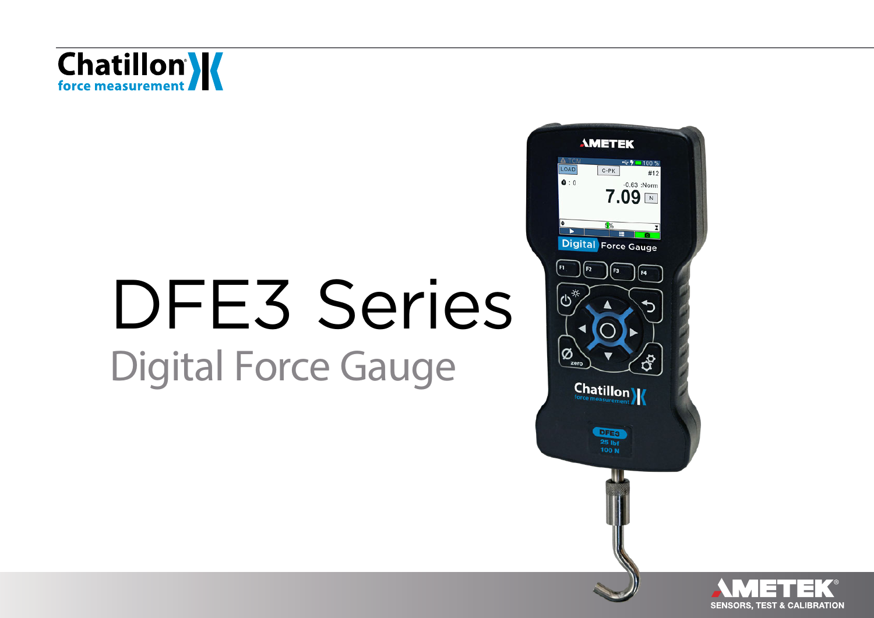

# DFE3 Series Digital Force Gauge



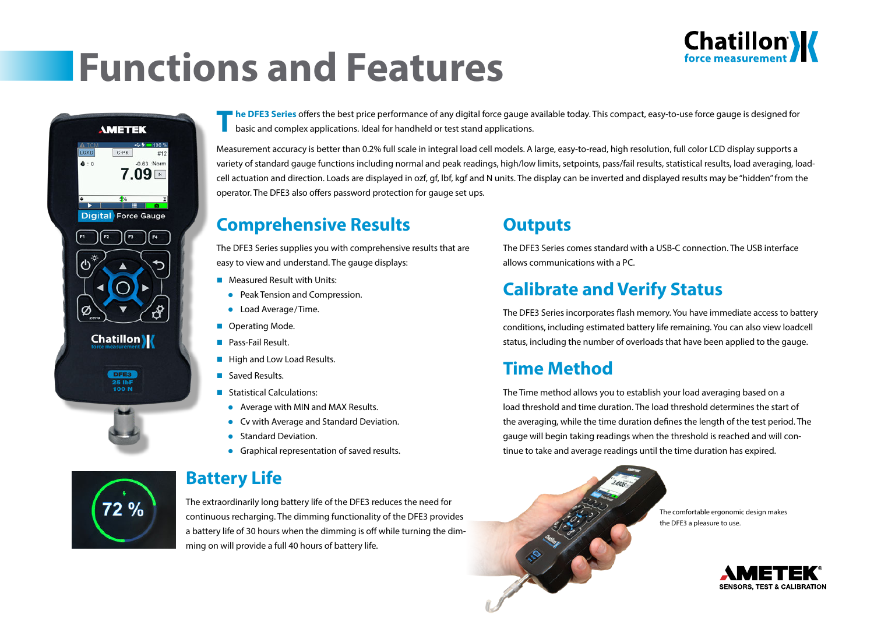## **Functions and Features**





72 %

**T he DFE3 Series** offers the best price performance of any digital force gauge available today. This compact, easy-to-use force gauge is designed for basic and complex applications. Ideal for handheld or test stand applications.

Measurement accuracy is better than 0.2% full scale in integral load cell models. A large, easy-to-read, high resolution, full color LCD display supports a variety of standard gauge functions including normal and peak readings, high/low limits, setpoints, pass/fail results, statistical results, load averaging, loadcell actuation and direction. Loads are displayed in ozf, gf, lbf, kgf and N units. The display can be inverted and displayed results may be "hidden" from the operator. The DFE3 also offers password protection for gauge set ups.

### **Comprehensive Results**

The DFE3 Series supplies you with comprehensive results that are easy to view and understand. The gauge displays:

- **Measured Result with Units:** 
	- Peak Tension and Compression.
	- **•** Load Average/Time.
- **Operating Mode.**
- **Pass-Fail Result.**
- **High and Low Load Results.**
- Saved Results
- **Statistical Calculations:** 
	- Average with MIN and MAX Results.
- Cv with Average and Standard Deviation.
- Standard Deviation.
- **Graphical representation of saved results.**

## **Battery Life**

The extraordinarily long battery life of the DFE3 reduces the need for continuous recharging. The dimming functionality of the DFE3 provides a battery life of 30 hours when the dimming is off while turning the dimming on will provide a full 40 hours of battery life.

## **Outputs**

The DFE3 Series comes standard with a USB-C connection. The USB interface allows communications with a PC.

## **Calibrate and Verify Status**

The DFE3 Series incorporates flash memory. You have immediate access to battery conditions, including estimated battery life remaining. You can also view loadcell status, including the number of overloads that have been applied to the gauge.

## **Time Method**

The Time method allows you to establish your load averaging based on a load threshold and time duration. The load threshold determines the start of the averaging, while the time duration defines the length of the test period. The gauge will begin taking readings when the threshold is reached and will continue to take and average readings until the time duration has expired.



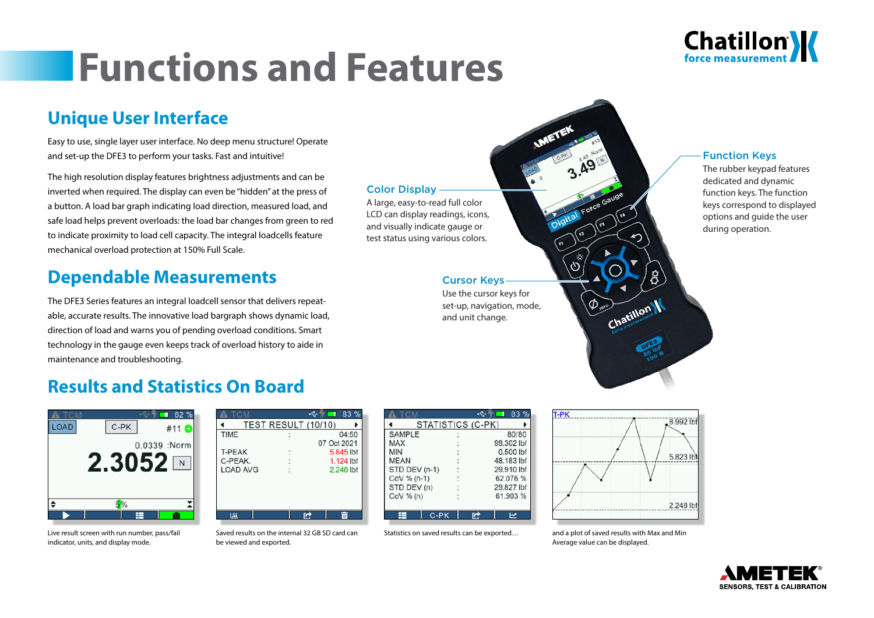## **Functions and Features**



### **Unique User Interface**

Easy to use, single layer user interface. No deep menu structure! Operate and set-up the DFE3 to perform your tasks. Fast and intuitive!

The high resolution display features brightness adjustments and can be inverted when required. The display can even be "hidden" at the press of a button. A load bar graph indicating load direction, measured load, and safe load helps prevent overloads: the load bar changes from green to red to indicate proximity to load cell capacity. The integral loadcells feature mechanical overload protection at 150% Full Scale.

### **Dependable Measurements**

The DFE3 Series features an integral loadcell sensor that delivers repeatable, accurate results. The innovative load bargraph shows dynamic load, direction of load and warns you of pending overload conditions. Smart technology in the gauge even keeps track of overload history to aide in maintenance and troubleshooting.

### **Results and Statistics On Board**





Live result screen with run number, pass/fail indicator, units, and display mode. Saved results on the be viewed and exported.

|                            | $UUV$ /0 (11)   |
|----------------------------|-----------------|
|                            |                 |
| internal 32 GB SD card can | Statistics on : |

| <b>SAMPLE</b> | 80/80      |
|---------------|------------|
| <b>MAX</b>    | 99.302 lbf |
| <b>MIN</b>    | 0.500 lbf  |
| <b>MEAN</b>   | 48.183 lbf |
| STD DEV (n-1) | 29.910 lbf |
| CoV % (n-1)   | 62.076 %   |
| STD DEV (n)   | 29.827 lbf |
| COV% (n)      | 61.903 %   |

Cursor Keys Use the cursor keys for set-up, navigation, mode, and unit change.

Color Display

A large, easy-to-read full color LCD can display readings, icons, and visually indicate gauge or test status using various colors.



#### saved results can be exported... and a plot of saved results with Max and Min Average value can be displayed.

Chatillon

#### Function Keys

The rubber keypad features dedicated and dynamic function keys. The function keys correspond to displayed options and guide the user during operation.



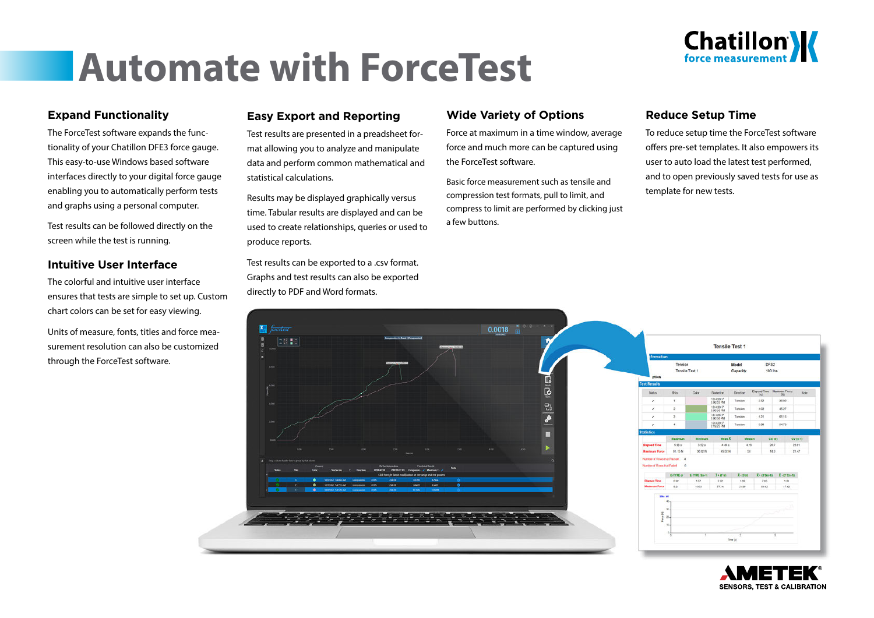

## **Automate with ForceTest**

#### **Expand Functionality**

The ForceTest software expands the functionality of your Chatillon DFE3 force gauge. This easy-to-use Windows based software interfaces directly to your digital force gauge enabling you to automatically perform tests and graphs using a personal computer.

Test results can be followed directly on the screen while the test is running.

#### **Intuitive User Interface**

The colorful and intuitive user interface ensures that tests are simple to set up. Custom chart colors can be set for easy viewing.

Units of measure, fonts, titles and force measurement resolution can also be customized through the ForceTest software.

#### **Easy Export and Reporting**

Test results are presented in a preadsheet format allowing you to analyze and manipulate data and perform common mathematical and statistical calculations.

Results may be displayed graphically versus time. Tabular results are displayed and can be used to create relationships, queries or used to produce reports.

Test results can be exported to a .csv format. Graphs and test results can also be exported directly to PDF and Word formats.

#### **Wide Variety of Options**

Force at maximum in a time window, average force and much more can be captured using the ForceTest software.

Basic force measurement such as tensile and compression test formats, pull to limit, and compress to limit are performed by clicking just a few buttons.

#### **Reduce Setup Time**

To reduce setup time the ForceTest software offers pre-set templates. It also empowers its user to auto load the latest test performed, and to open previously saved tests for use as template for new tests.



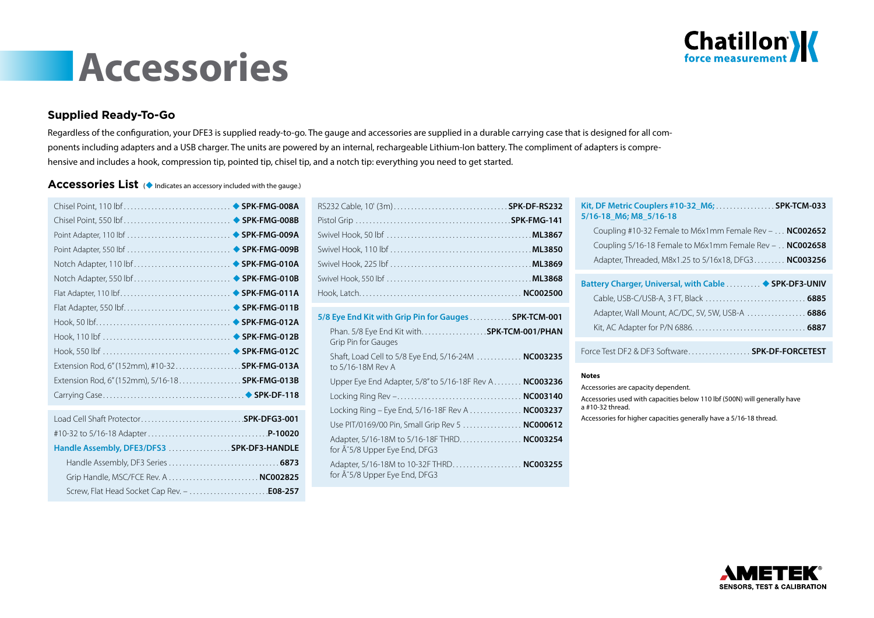

## **Accessories**

#### **Supplied Ready-To-Go**

Regardless of the configuration, your DFE3 is supplied ready-to-go. The gauge and accessories are supplied in a durable carrying case that is designed for all components including adapters and a USB charger. The units are powered by an internal, rechargeable Lithium-Ion battery. The compliment of adapters is comprehensive and includes a hook, compression tip, pointed tip, chisel tip, and a notch tip: everything you need to get started.

#### Accessories List ( $\bullet$  Indicates an accessory included with the gauge.)

| Extension Rod, 6" (152mm), #10-32 SPK-FMG-013A  |  |
|-------------------------------------------------|--|
| Extension Rod, 6" (152mm), 5/16-18 SPK-FMG-013B |  |
|                                                 |  |
|                                                 |  |
|                                                 |  |
|                                                 |  |
| Handle Assembly, DFE3/DFS3  SPK-DF3-HANDLE      |  |
|                                                 |  |
|                                                 |  |
|                                                 |  |

| 5/8 Eye End Kit with Grip Pin for Gauges  SPK-TCM-001                                   |
|-----------------------------------------------------------------------------------------|
| Phan. 5/8 Eye End Kit with. SPK-TCM-001/PHAN<br>Grip Pin for Gauges                     |
| Shaft, Load Cell to 5/8 Eye End, 5/16-24M  NC003235<br>to 5/16-18M Rev A                |
| Upper Eye End Adapter, 5/8" to 5/16-18F Rev A NC003236                                  |
|                                                                                         |
| Locking Ring – Eye End, 5/16-18F Rev A <b>NC003237</b>                                  |
| Use PIT/0169/00 Pin, Small Grip Rev 5  NC000612                                         |
| Adapter, 5/16-18M to 5/16-18F THRD NC003254<br>for $\tilde{A}$ ~5/8 Upper Eye End, DFG3 |
| Adapter, 5/16-18M to 10-32F THRD NC003255<br>for $\tilde{A}$ ~5/8 Upper Eye End, DFG3   |
|                                                                                         |

| Kit, DF Metric Couplers #10-32_M6;  SPK-TCM-033<br>5/16-18 M6; M8 5/16-18 |
|---------------------------------------------------------------------------|
| Coupling #10-32 Female to M6x1mm Female Rev $- \ldots$ NC002652           |
| Coupling $5/16$ -18 Female to M6x1mm Female Rev – $\ldots$ NC002658       |
| Adapter, Threaded, M8x1.25 to 5/16x18, DFG3 NC003256                      |
| Battery Charger, Universal, with Cable  ♦ SPK-DF3-UNIV                    |
|                                                                           |
| Adapter, Wall Mount, AC/DC, 5V, 5W, USB-A  6886                           |
|                                                                           |
|                                                                           |

Force Test DF2 & DF3 Software . . . . . . . . . . . . . . . . . . **SPK-DF-FORCETEST**

#### **Notes**

Accessories are capacity dependent. Accessories used with capacities below 110 lbf (500N) will generally have a #10-32 thread.

Accessories for higher capacities generally have a 5/16-18 thread.

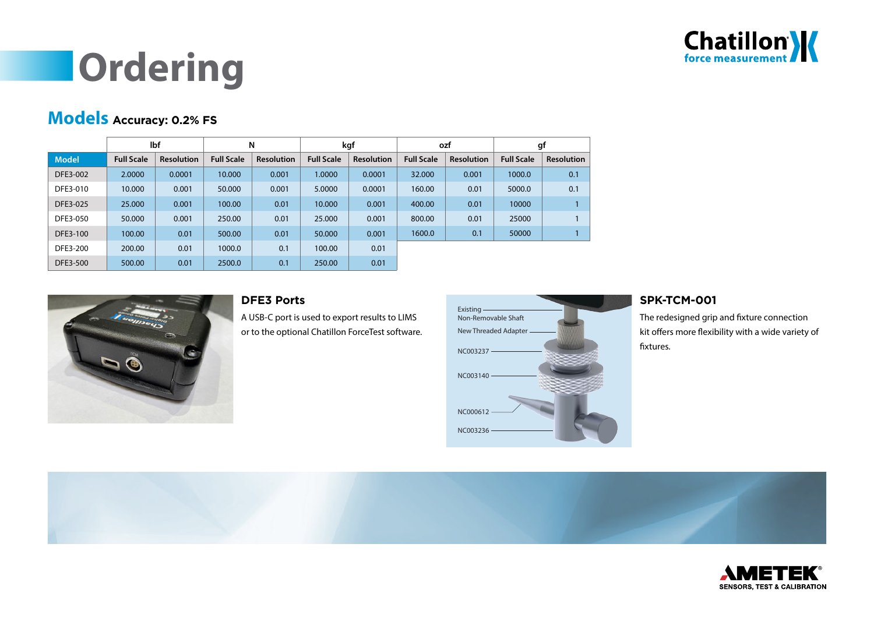

## **Ordering**

### **Models Accuracy: 0.2% FS**

|              |                   | lbf               |                   | N                 |                   | kgf               | ozf               |                   | gf                |                   |
|--------------|-------------------|-------------------|-------------------|-------------------|-------------------|-------------------|-------------------|-------------------|-------------------|-------------------|
| <b>Model</b> | <b>Full Scale</b> | <b>Resolution</b> | <b>Full Scale</b> | <b>Resolution</b> | <b>Full Scale</b> | <b>Resolution</b> | <b>Full Scale</b> | <b>Resolution</b> | <b>Full Scale</b> | <b>Resolution</b> |
| DFE3-002     | 2.0000            | 0.0001            | 10.000            | 0.001             | 1.0000            | 0.0001            | 32.000            | 0.001             | 1000.0            | 0.1               |
| DFE3-010     | 10.000            | 0.001             | 50,000            | 0.001             | 5.0000            | 0.0001            | 160.00            | 0.01              | 5000.0            | 0.1               |
| DFE3-025     | 25.000            | 0.001             | 100.00            | 0.01              | 10.000            | 0.001             | 400.00            | 0.01              | 10000             |                   |
| DFE3-050     | 50,000            | 0.001             | 250.00            | 0.01              | 25,000            | 0.001             | 800.00            | 0.01              | 25000             |                   |
| DFE3-100     | 100.00            | 0.01              | 500.00            | 0.01              | 50,000            | 0.001             | 1600.0            | 0.1               | 50000             |                   |
| DFE3-200     | 200.00            | 0.01              | 1000.0            | 0.1               | 100.00            | 0.01              |                   |                   |                   |                   |
| DFE3-500     | 500.00            | 0.01              | 2500.0            | 0.1               | 250.00            | 0.01              |                   |                   |                   |                   |



#### **DFE3 Ports**

A USB-C port is used to export results to LIMS or to the optional Chatillon ForceTest software.



#### **SPK-TCM-001**

The redesigned grip and fixture connection kit offers more flexibility with a wide variety of fixtures.



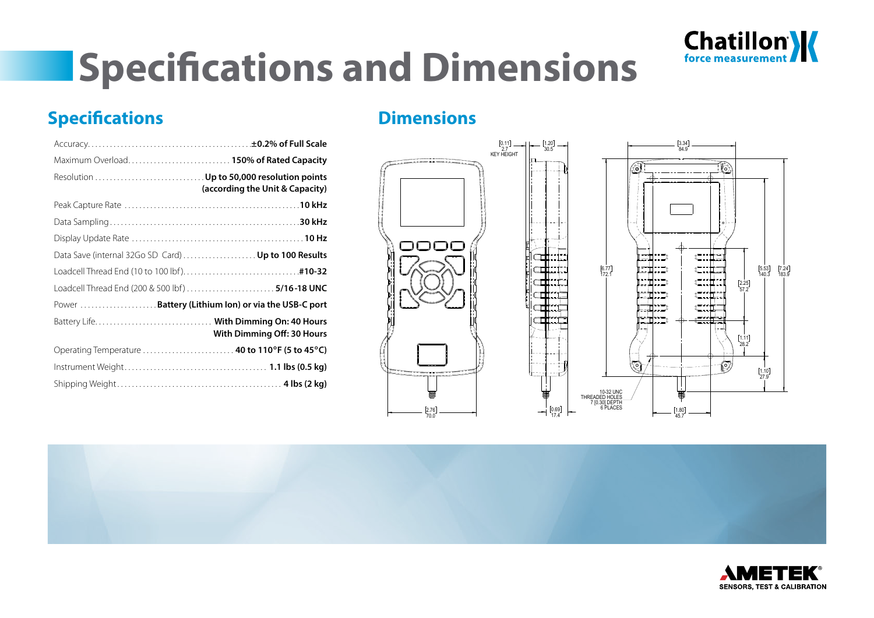

## **Specifications and Dimensions**

## **Specifications**

| Maximum Overload.  150% of Rated Capacity                                     |
|-------------------------------------------------------------------------------|
| Resolution  Up to 50,000 resolution points<br>(according the Unit & Capacity) |
|                                                                               |
|                                                                               |
|                                                                               |
| Data Save (internal 32Go SD Card)  Up to 100 Results                          |
|                                                                               |
|                                                                               |
| Power  Battery (Lithium Ion) or via the USB-C port                            |
| With Dimming Off: 30 Hours                                                    |
| Operating Temperature  40 to 110°F (5 to 45°C)                                |
|                                                                               |
|                                                                               |

## **Dimensions**